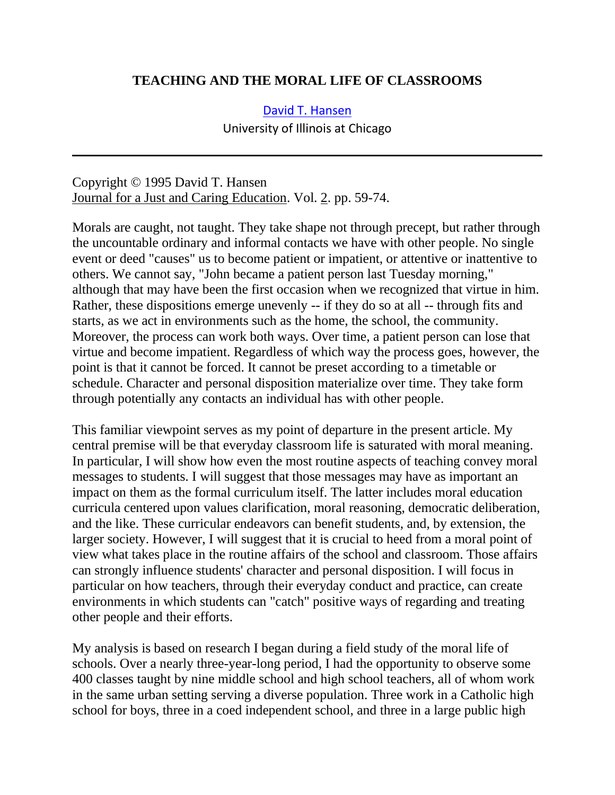## **TEACHING AND THE MORAL LIFE OF CLASSROOMS**

#### [David T. Hansen](mailto:DHansen@uic.edu)

University of Illinois at Chicago

Copyright © 1995 David T. Hansen Journal for a Just and Caring Education. Vol. 2. pp. 59-74.

Morals are caught, not taught. They take shape not through precept, but rather through the uncountable ordinary and informal contacts we have with other people. No single event or deed "causes" us to become patient or impatient, or attentive or inattentive to others. We cannot say, "John became a patient person last Tuesday morning," although that may have been the first occasion when we recognized that virtue in him. Rather, these dispositions emerge unevenly -- if they do so at all -- through fits and starts, as we act in environments such as the home, the school, the community. Moreover, the process can work both ways. Over time, a patient person can lose that virtue and become impatient. Regardless of which way the process goes, however, the point is that it cannot be forced. It cannot be preset according to a timetable or schedule. Character and personal disposition materialize over time. They take form through potentially any contacts an individual has with other people.

This familiar viewpoint serves as my point of departure in the present article. My central premise will be that everyday classroom life is saturated with moral meaning. In particular, I will show how even the most routine aspects of teaching convey moral messages to students. I will suggest that those messages may have as important an impact on them as the formal curriculum itself. The latter includes moral education curricula centered upon values clarification, moral reasoning, democratic deliberation, and the like. These curricular endeavors can benefit students, and, by extension, the larger society. However, I will suggest that it is crucial to heed from a moral point of view what takes place in the routine affairs of the school and classroom. Those affairs can strongly influence students' character and personal disposition. I will focus in particular on how teachers, through their everyday conduct and practice, can create environments in which students can "catch" positive ways of regarding and treating other people and their efforts.

My analysis is based on research I began during a field study of the moral life of schools. Over a nearly three-year-long period, I had the opportunity to observe some 400 classes taught by nine middle school and high school teachers, all of whom work in the same urban setting serving a diverse population. Three work in a Catholic high school for boys, three in a coed independent school, and three in a large public high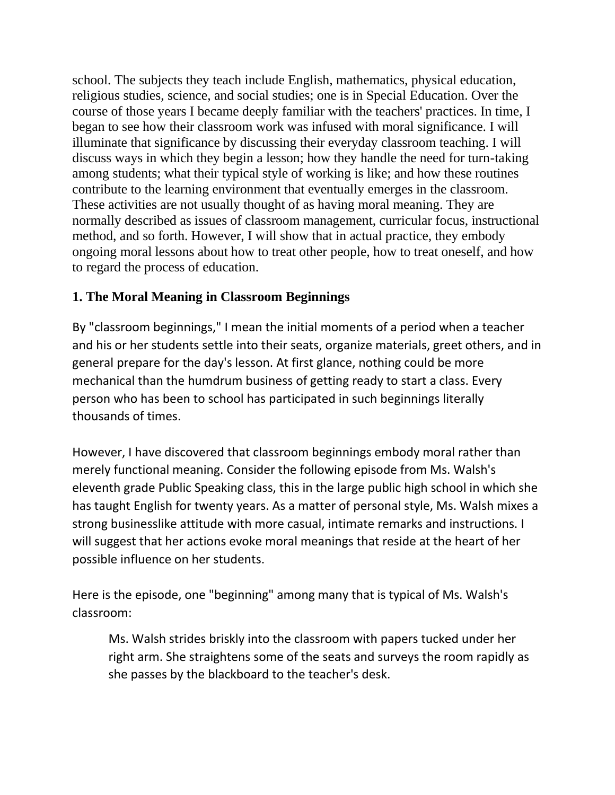school. The subjects they teach include English, mathematics, physical education, religious studies, science, and social studies; one is in Special Education. Over the course of those years I became deeply familiar with the teachers' practices. In time, I began to see how their classroom work was infused with moral significance. I will illuminate that significance by discussing their everyday classroom teaching. I will discuss ways in which they begin a lesson; how they handle the need for turn-taking among students; what their typical style of working is like; and how these routines contribute to the learning environment that eventually emerges in the classroom. These activities are not usually thought of as having moral meaning. They are normally described as issues of classroom management, curricular focus, instructional method, and so forth. However, I will show that in actual practice, they embody ongoing moral lessons about how to treat other people, how to treat oneself, and how to regard the process of education.

# **1. The Moral Meaning in Classroom Beginnings**

By "classroom beginnings," I mean the initial moments of a period when a teacher and his or her students settle into their seats, organize materials, greet others, and in general prepare for the day's lesson. At first glance, nothing could be more mechanical than the humdrum business of getting ready to start a class. Every person who has been to school has participated in such beginnings literally thousands of times.

However, I have discovered that classroom beginnings embody moral rather than merely functional meaning. Consider the following episode from Ms. Walsh's eleventh grade Public Speaking class, this in the large public high school in which she has taught English for twenty years. As a matter of personal style, Ms. Walsh mixes a strong businesslike attitude with more casual, intimate remarks and instructions. I will suggest that her actions evoke moral meanings that reside at the heart of her possible influence on her students.

Here is the episode, one "beginning" among many that is typical of Ms. Walsh's classroom:

Ms. Walsh strides briskly into the classroom with papers tucked under her right arm. She straightens some of the seats and surveys the room rapidly as she passes by the blackboard to the teacher's desk.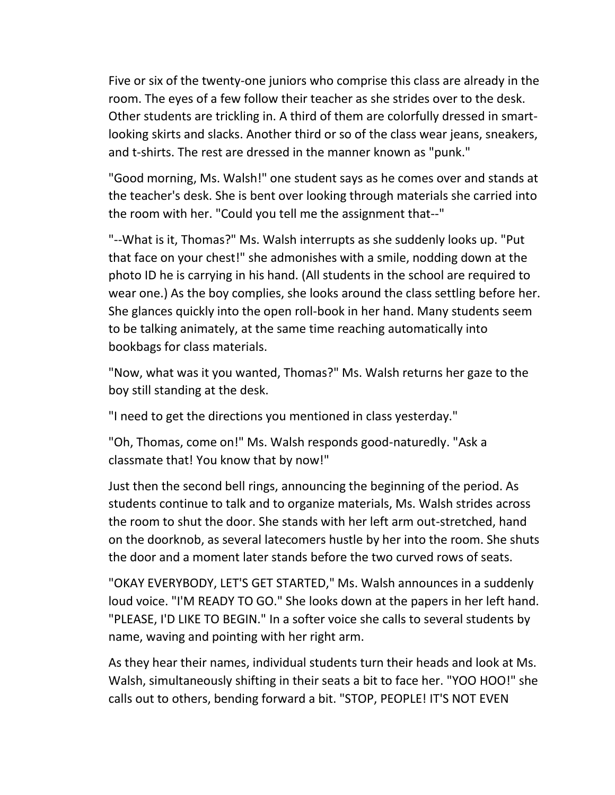Five or six of the twenty-one juniors who comprise this class are already in the room. The eyes of a few follow their teacher as she strides over to the desk. Other students are trickling in. A third of them are colorfully dressed in smartlooking skirts and slacks. Another third or so of the class wear jeans, sneakers, and t-shirts. The rest are dressed in the manner known as "punk."

"Good morning, Ms. Walsh!" one student says as he comes over and stands at the teacher's desk. She is bent over looking through materials she carried into the room with her. "Could you tell me the assignment that--"

"--What is it, Thomas?" Ms. Walsh interrupts as she suddenly looks up. "Put that face on your chest!" she admonishes with a smile, nodding down at the photo ID he is carrying in his hand. (All students in the school are required to wear one.) As the boy complies, she looks around the class settling before her. She glances quickly into the open roll-book in her hand. Many students seem to be talking animately, at the same time reaching automatically into bookbags for class materials.

"Now, what was it you wanted, Thomas?" Ms. Walsh returns her gaze to the boy still standing at the desk.

"I need to get the directions you mentioned in class yesterday."

"Oh, Thomas, come on!" Ms. Walsh responds good-naturedly. "Ask a classmate that! You know that by now!"

Just then the second bell rings, announcing the beginning of the period. As students continue to talk and to organize materials, Ms. Walsh strides across the room to shut the door. She stands with her left arm out-stretched, hand on the doorknob, as several latecomers hustle by her into the room. She shuts the door and a moment later stands before the two curved rows of seats.

"OKAY EVERYBODY, LET'S GET STARTED," Ms. Walsh announces in a suddenly loud voice. "I'M READY TO GO." She looks down at the papers in her left hand. "PLEASE, I'D LIKE TO BEGIN." In a softer voice she calls to several students by name, waving and pointing with her right arm.

As they hear their names, individual students turn their heads and look at Ms. Walsh, simultaneously shifting in their seats a bit to face her. "YOO HOO!" she calls out to others, bending forward a bit. "STOP, PEOPLE! IT'S NOT EVEN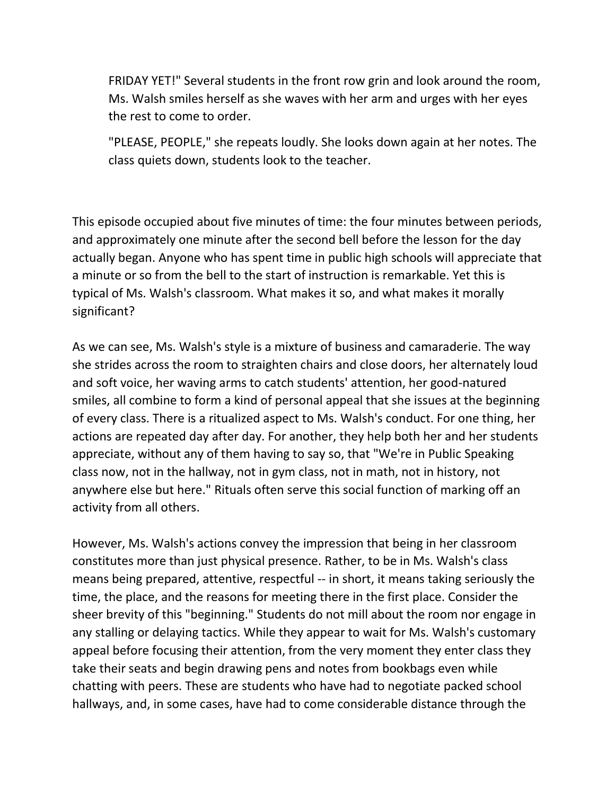FRIDAY YET!" Several students in the front row grin and look around the room, Ms. Walsh smiles herself as she waves with her arm and urges with her eyes the rest to come to order.

"PLEASE, PEOPLE," she repeats loudly. She looks down again at her notes. The class quiets down, students look to the teacher.

This episode occupied about five minutes of time: the four minutes between periods, and approximately one minute after the second bell before the lesson for the day actually began. Anyone who has spent time in public high schools will appreciate that a minute or so from the bell to the start of instruction is remarkable. Yet this is typical of Ms. Walsh's classroom. What makes it so, and what makes it morally significant?

As we can see, Ms. Walsh's style is a mixture of business and camaraderie. The way she strides across the room to straighten chairs and close doors, her alternately loud and soft voice, her waving arms to catch students' attention, her good-natured smiles, all combine to form a kind of personal appeal that she issues at the beginning of every class. There is a ritualized aspect to Ms. Walsh's conduct. For one thing, her actions are repeated day after day. For another, they help both her and her students appreciate, without any of them having to say so, that "We're in Public Speaking class now, not in the hallway, not in gym class, not in math, not in history, not anywhere else but here." Rituals often serve this social function of marking off an activity from all others.

However, Ms. Walsh's actions convey the impression that being in her classroom constitutes more than just physical presence. Rather, to be in Ms. Walsh's class means being prepared, attentive, respectful -- in short, it means taking seriously the time, the place, and the reasons for meeting there in the first place. Consider the sheer brevity of this "beginning." Students do not mill about the room nor engage in any stalling or delaying tactics. While they appear to wait for Ms. Walsh's customary appeal before focusing their attention, from the very moment they enter class they take their seats and begin drawing pens and notes from bookbags even while chatting with peers. These are students who have had to negotiate packed school hallways, and, in some cases, have had to come considerable distance through the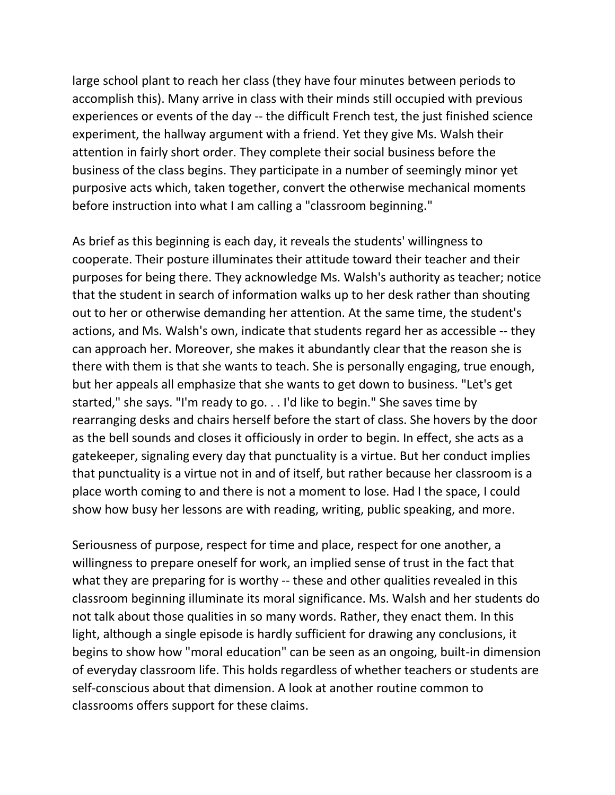large school plant to reach her class (they have four minutes between periods to accomplish this). Many arrive in class with their minds still occupied with previous experiences or events of the day -- the difficult French test, the just finished science experiment, the hallway argument with a friend. Yet they give Ms. Walsh their attention in fairly short order. They complete their social business before the business of the class begins. They participate in a number of seemingly minor yet purposive acts which, taken together, convert the otherwise mechanical moments before instruction into what I am calling a "classroom beginning."

As brief as this beginning is each day, it reveals the students' willingness to cooperate. Their posture illuminates their attitude toward their teacher and their purposes for being there. They acknowledge Ms. Walsh's authority as teacher; notice that the student in search of information walks up to her desk rather than shouting out to her or otherwise demanding her attention. At the same time, the student's actions, and Ms. Walsh's own, indicate that students regard her as accessible -- they can approach her. Moreover, she makes it abundantly clear that the reason she is there with them is that she wants to teach. She is personally engaging, true enough, but her appeals all emphasize that she wants to get down to business. "Let's get started," she says. "I'm ready to go. . . I'd like to begin." She saves time by rearranging desks and chairs herself before the start of class. She hovers by the door as the bell sounds and closes it officiously in order to begin. In effect, she acts as a gatekeeper, signaling every day that punctuality is a virtue. But her conduct implies that punctuality is a virtue not in and of itself, but rather because her classroom is a place worth coming to and there is not a moment to lose. Had I the space, I could show how busy her lessons are with reading, writing, public speaking, and more.

Seriousness of purpose, respect for time and place, respect for one another, a willingness to prepare oneself for work, an implied sense of trust in the fact that what they are preparing for is worthy -- these and other qualities revealed in this classroom beginning illuminate its moral significance. Ms. Walsh and her students do not talk about those qualities in so many words. Rather, they enact them. In this light, although a single episode is hardly sufficient for drawing any conclusions, it begins to show how "moral education" can be seen as an ongoing, built-in dimension of everyday classroom life. This holds regardless of whether teachers or students are self-conscious about that dimension. A look at another routine common to classrooms offers support for these claims.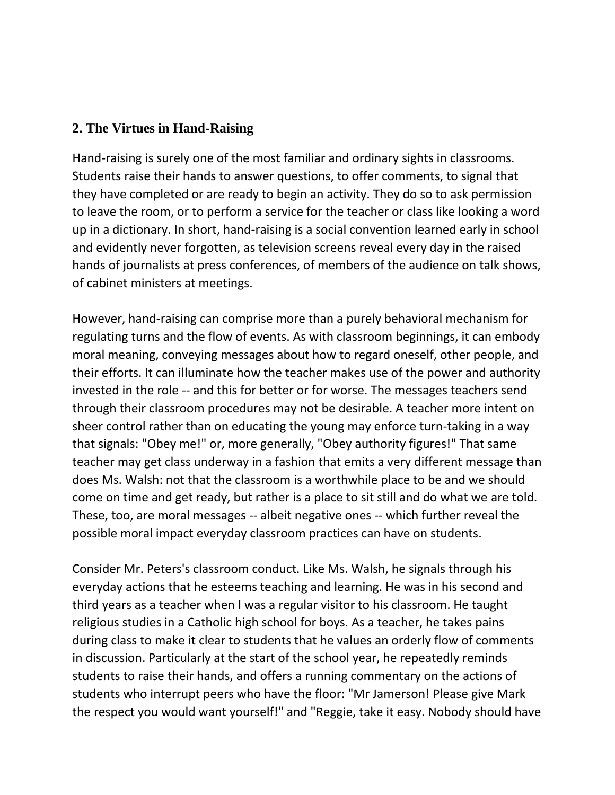## **2. The Virtues in Hand-Raising**

Hand-raising is surely one of the most familiar and ordinary sights in classrooms. Students raise their hands to answer questions, to offer comments, to signal that they have completed or are ready to begin an activity. They do so to ask permission to leave the room, or to perform a service for the teacher or class like looking a word up in a dictionary. In short, hand-raising is a social convention learned early in school and evidently never forgotten, as television screens reveal every day in the raised hands of journalists at press conferences, of members of the audience on talk shows, of cabinet ministers at meetings.

However, hand-raising can comprise more than a purely behavioral mechanism for regulating turns and the flow of events. As with classroom beginnings, it can embody moral meaning, conveying messages about how to regard oneself, other people, and their efforts. It can illuminate how the teacher makes use of the power and authority invested in the role -- and this for better or for worse. The messages teachers send through their classroom procedures may not be desirable. A teacher more intent on sheer control rather than on educating the young may enforce turn-taking in a way that signals: "Obey me!" or, more generally, "Obey authority figures!" That same teacher may get class underway in a fashion that emits a very different message than does Ms. Walsh: not that the classroom is a worthwhile place to be and we should come on time and get ready, but rather is a place to sit still and do what we are told. These, too, are moral messages -- albeit negative ones -- which further reveal the possible moral impact everyday classroom practices can have on students.

Consider Mr. Peters's classroom conduct. Like Ms. Walsh, he signals through his everyday actions that he esteems teaching and learning. He was in his second and third years as a teacher when I was a regular visitor to his classroom. He taught religious studies in a Catholic high school for boys. As a teacher, he takes pains during class to make it clear to students that he values an orderly flow of comments in discussion. Particularly at the start of the school year, he repeatedly reminds students to raise their hands, and offers a running commentary on the actions of students who interrupt peers who have the floor: "Mr Jamerson! Please give Mark the respect you would want yourself!" and "Reggie, take it easy. Nobody should have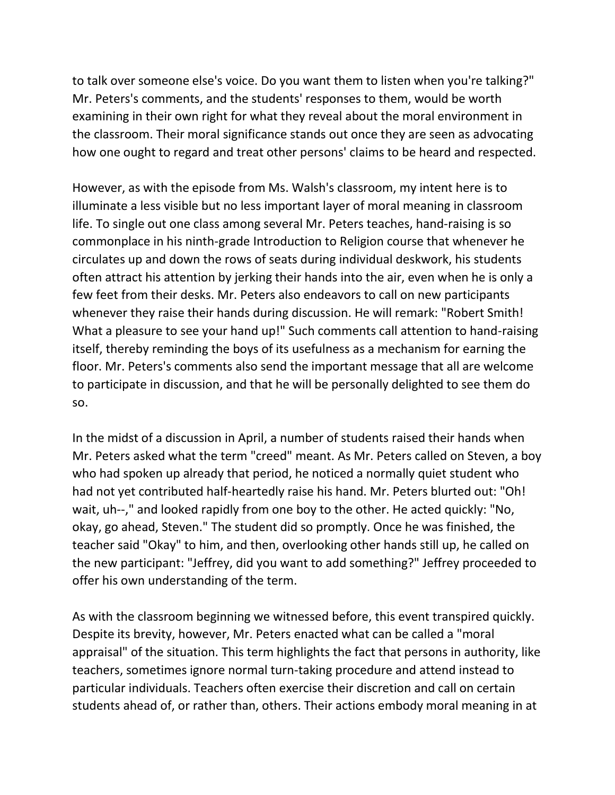to talk over someone else's voice. Do you want them to listen when you're talking?" Mr. Peters's comments, and the students' responses to them, would be worth examining in their own right for what they reveal about the moral environment in the classroom. Their moral significance stands out once they are seen as advocating how one ought to regard and treat other persons' claims to be heard and respected.

However, as with the episode from Ms. Walsh's classroom, my intent here is to illuminate a less visible but no less important layer of moral meaning in classroom life. To single out one class among several Mr. Peters teaches, hand-raising is so commonplace in his ninth-grade Introduction to Religion course that whenever he circulates up and down the rows of seats during individual deskwork, his students often attract his attention by jerking their hands into the air, even when he is only a few feet from their desks. Mr. Peters also endeavors to call on new participants whenever they raise their hands during discussion. He will remark: "Robert Smith! What a pleasure to see your hand up!" Such comments call attention to hand-raising itself, thereby reminding the boys of its usefulness as a mechanism for earning the floor. Mr. Peters's comments also send the important message that all are welcome to participate in discussion, and that he will be personally delighted to see them do so.

In the midst of a discussion in April, a number of students raised their hands when Mr. Peters asked what the term "creed" meant. As Mr. Peters called on Steven, a boy who had spoken up already that period, he noticed a normally quiet student who had not yet contributed half-heartedly raise his hand. Mr. Peters blurted out: "Oh! wait, uh--," and looked rapidly from one boy to the other. He acted quickly: "No, okay, go ahead, Steven." The student did so promptly. Once he was finished, the teacher said "Okay" to him, and then, overlooking other hands still up, he called on the new participant: "Jeffrey, did you want to add something?" Jeffrey proceeded to offer his own understanding of the term.

As with the classroom beginning we witnessed before, this event transpired quickly. Despite its brevity, however, Mr. Peters enacted what can be called a "moral appraisal" of the situation. This term highlights the fact that persons in authority, like teachers, sometimes ignore normal turn-taking procedure and attend instead to particular individuals. Teachers often exercise their discretion and call on certain students ahead of, or rather than, others. Their actions embody moral meaning in at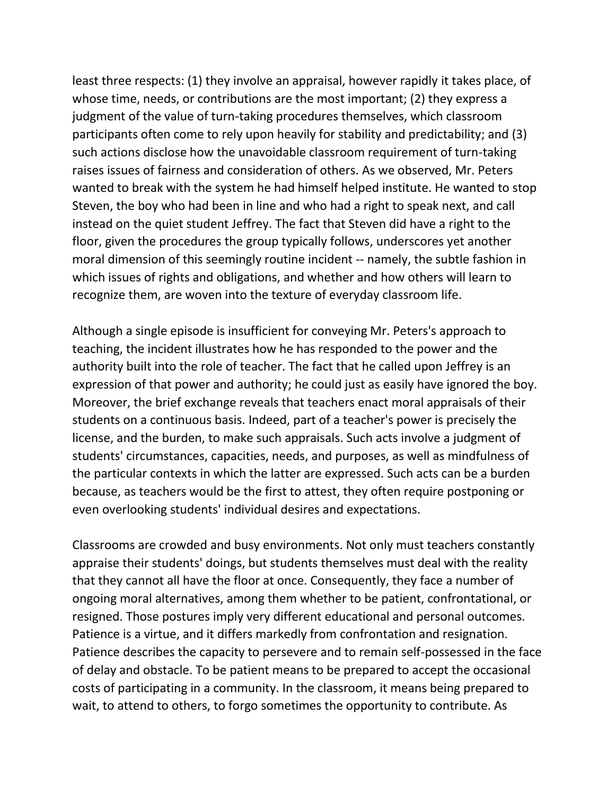least three respects: (1) they involve an appraisal, however rapidly it takes place, of whose time, needs, or contributions are the most important; (2) they express a judgment of the value of turn-taking procedures themselves, which classroom participants often come to rely upon heavily for stability and predictability; and (3) such actions disclose how the unavoidable classroom requirement of turn-taking raises issues of fairness and consideration of others. As we observed, Mr. Peters wanted to break with the system he had himself helped institute. He wanted to stop Steven, the boy who had been in line and who had a right to speak next, and call instead on the quiet student Jeffrey. The fact that Steven did have a right to the floor, given the procedures the group typically follows, underscores yet another moral dimension of this seemingly routine incident -- namely, the subtle fashion in which issues of rights and obligations, and whether and how others will learn to recognize them, are woven into the texture of everyday classroom life.

Although a single episode is insufficient for conveying Mr. Peters's approach to teaching, the incident illustrates how he has responded to the power and the authority built into the role of teacher. The fact that he called upon Jeffrey is an expression of that power and authority; he could just as easily have ignored the boy. Moreover, the brief exchange reveals that teachers enact moral appraisals of their students on a continuous basis. Indeed, part of a teacher's power is precisely the license, and the burden, to make such appraisals. Such acts involve a judgment of students' circumstances, capacities, needs, and purposes, as well as mindfulness of the particular contexts in which the latter are expressed. Such acts can be a burden because, as teachers would be the first to attest, they often require postponing or even overlooking students' individual desires and expectations.

Classrooms are crowded and busy environments. Not only must teachers constantly appraise their students' doings, but students themselves must deal with the reality that they cannot all have the floor at once. Consequently, they face a number of ongoing moral alternatives, among them whether to be patient, confrontational, or resigned. Those postures imply very different educational and personal outcomes. Patience is a virtue, and it differs markedly from confrontation and resignation. Patience describes the capacity to persevere and to remain self-possessed in the face of delay and obstacle. To be patient means to be prepared to accept the occasional costs of participating in a community. In the classroom, it means being prepared to wait, to attend to others, to forgo sometimes the opportunity to contribute. As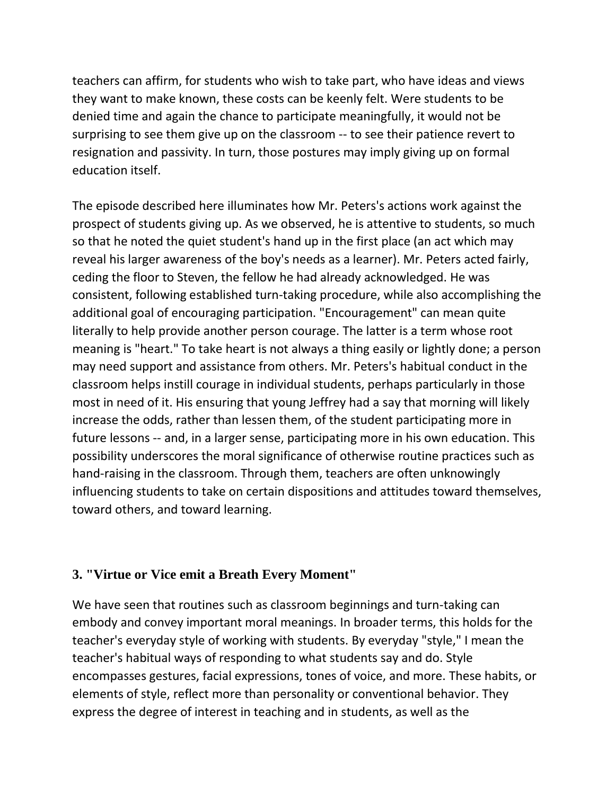teachers can affirm, for students who wish to take part, who have ideas and views they want to make known, these costs can be keenly felt. Were students to be denied time and again the chance to participate meaningfully, it would not be surprising to see them give up on the classroom -- to see their patience revert to resignation and passivity. In turn, those postures may imply giving up on formal education itself.

The episode described here illuminates how Mr. Peters's actions work against the prospect of students giving up. As we observed, he is attentive to students, so much so that he noted the quiet student's hand up in the first place (an act which may reveal his larger awareness of the boy's needs as a learner). Mr. Peters acted fairly, ceding the floor to Steven, the fellow he had already acknowledged. He was consistent, following established turn-taking procedure, while also accomplishing the additional goal of encouraging participation. "Encouragement" can mean quite literally to help provide another person courage. The latter is a term whose root meaning is "heart." To take heart is not always a thing easily or lightly done; a person may need support and assistance from others. Mr. Peters's habitual conduct in the classroom helps instill courage in individual students, perhaps particularly in those most in need of it. His ensuring that young Jeffrey had a say that morning will likely increase the odds, rather than lessen them, of the student participating more in future lessons -- and, in a larger sense, participating more in his own education. This possibility underscores the moral significance of otherwise routine practices such as hand-raising in the classroom. Through them, teachers are often unknowingly influencing students to take on certain dispositions and attitudes toward themselves, toward others, and toward learning.

## **3. "Virtue or Vice emit a Breath Every Moment"**

We have seen that routines such as classroom beginnings and turn-taking can embody and convey important moral meanings. In broader terms, this holds for the teacher's everyday style of working with students. By everyday "style," I mean the teacher's habitual ways of responding to what students say and do. Style encompasses gestures, facial expressions, tones of voice, and more. These habits, or elements of style, reflect more than personality or conventional behavior. They express the degree of interest in teaching and in students, as well as the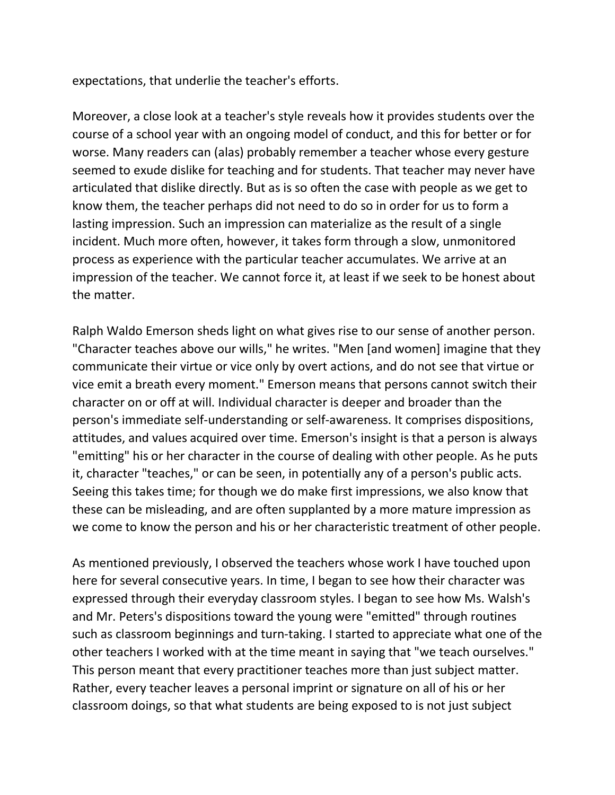expectations, that underlie the teacher's efforts.

Moreover, a close look at a teacher's style reveals how it provides students over the course of a school year with an ongoing model of conduct, and this for better or for worse. Many readers can (alas) probably remember a teacher whose every gesture seemed to exude dislike for teaching and for students. That teacher may never have articulated that dislike directly. But as is so often the case with people as we get to know them, the teacher perhaps did not need to do so in order for us to form a lasting impression. Such an impression can materialize as the result of a single incident. Much more often, however, it takes form through a slow, unmonitored process as experience with the particular teacher accumulates. We arrive at an impression of the teacher. We cannot force it, at least if we seek to be honest about the matter.

Ralph Waldo Emerson sheds light on what gives rise to our sense of another person. "Character teaches above our wills," he writes. "Men [and women] imagine that they communicate their virtue or vice only by overt actions, and do not see that virtue or vice emit a breath every moment." Emerson means that persons cannot switch their character on or off at will. Individual character is deeper and broader than the person's immediate self-understanding or self-awareness. It comprises dispositions, attitudes, and values acquired over time. Emerson's insight is that a person is always "emitting" his or her character in the course of dealing with other people. As he puts it, character "teaches," or can be seen, in potentially any of a person's public acts. Seeing this takes time; for though we do make first impressions, we also know that these can be misleading, and are often supplanted by a more mature impression as we come to know the person and his or her characteristic treatment of other people.

As mentioned previously, I observed the teachers whose work I have touched upon here for several consecutive years. In time, I began to see how their character was expressed through their everyday classroom styles. I began to see how Ms. Walsh's and Mr. Peters's dispositions toward the young were "emitted" through routines such as classroom beginnings and turn-taking. I started to appreciate what one of the other teachers I worked with at the time meant in saying that "we teach ourselves." This person meant that every practitioner teaches more than just subject matter. Rather, every teacher leaves a personal imprint or signature on all of his or her classroom doings, so that what students are being exposed to is not just subject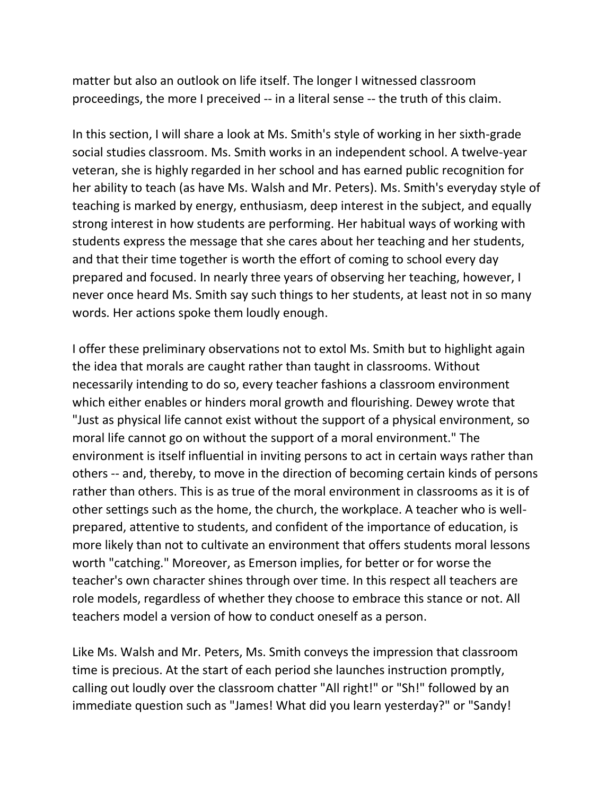matter but also an outlook on life itself. The longer I witnessed classroom proceedings, the more I preceived -- in a literal sense -- the truth of this claim.

In this section, I will share a look at Ms. Smith's style of working in her sixth-grade social studies classroom. Ms. Smith works in an independent school. A twelve-year veteran, she is highly regarded in her school and has earned public recognition for her ability to teach (as have Ms. Walsh and Mr. Peters). Ms. Smith's everyday style of teaching is marked by energy, enthusiasm, deep interest in the subject, and equally strong interest in how students are performing. Her habitual ways of working with students express the message that she cares about her teaching and her students, and that their time together is worth the effort of coming to school every day prepared and focused. In nearly three years of observing her teaching, however, I never once heard Ms. Smith say such things to her students, at least not in so many words. Her actions spoke them loudly enough.

I offer these preliminary observations not to extol Ms. Smith but to highlight again the idea that morals are caught rather than taught in classrooms. Without necessarily intending to do so, every teacher fashions a classroom environment which either enables or hinders moral growth and flourishing. Dewey wrote that "Just as physical life cannot exist without the support of a physical environment, so moral life cannot go on without the support of a moral environment." The environment is itself influential in inviting persons to act in certain ways rather than others -- and, thereby, to move in the direction of becoming certain kinds of persons rather than others. This is as true of the moral environment in classrooms as it is of other settings such as the home, the church, the workplace. A teacher who is wellprepared, attentive to students, and confident of the importance of education, is more likely than not to cultivate an environment that offers students moral lessons worth "catching." Moreover, as Emerson implies, for better or for worse the teacher's own character shines through over time. In this respect all teachers are role models, regardless of whether they choose to embrace this stance or not. All teachers model a version of how to conduct oneself as a person.

Like Ms. Walsh and Mr. Peters, Ms. Smith conveys the impression that classroom time is precious. At the start of each period she launches instruction promptly, calling out loudly over the classroom chatter "All right!" or "Sh!" followed by an immediate question such as "James! What did you learn yesterday?" or "Sandy!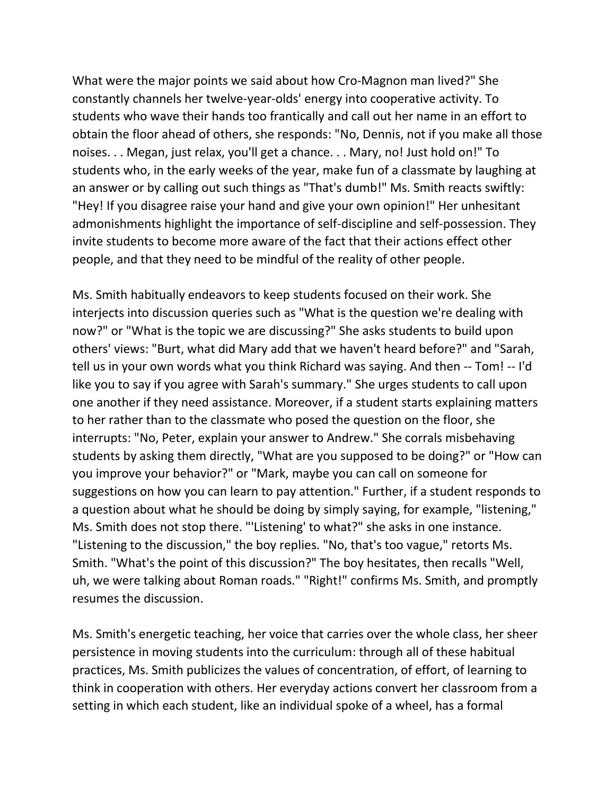What were the major points we said about how Cro-Magnon man lived?" She constantly channels her twelve-year-olds' energy into cooperative activity. To students who wave their hands too frantically and call out her name in an effort to obtain the floor ahead of others, she responds: "No, Dennis, not if you make all those noises. . . Megan, just relax, you'll get a chance. . . Mary, no! Just hold on!" To students who, in the early weeks of the year, make fun of a classmate by laughing at an answer or by calling out such things as "That's dumb!" Ms. Smith reacts swiftly: "Hey! If you disagree raise your hand and give your own opinion!" Her unhesitant admonishments highlight the importance of self-discipline and self-possession. They invite students to become more aware of the fact that their actions effect other people, and that they need to be mindful of the reality of other people.

Ms. Smith habitually endeavors to keep students focused on their work. She interjects into discussion queries such as "What is the question we're dealing with now?" or "What is the topic we are discussing?" She asks students to build upon others' views: "Burt, what did Mary add that we haven't heard before?" and "Sarah, tell us in your own words what you think Richard was saying. And then -- Tom! -- I'd like you to say if you agree with Sarah's summary." She urges students to call upon one another if they need assistance. Moreover, if a student starts explaining matters to her rather than to the classmate who posed the question on the floor, she interrupts: "No, Peter, explain your answer to Andrew." She corrals misbehaving students by asking them directly, "What are you supposed to be doing?" or "How can you improve your behavior?" or "Mark, maybe you can call on someone for suggestions on how you can learn to pay attention." Further, if a student responds to a question about what he should be doing by simply saying, for example, "listening," Ms. Smith does not stop there. "'Listening' to what?" she asks in one instance. "Listening to the discussion," the boy replies. "No, that's too vague," retorts Ms. Smith. "What's the point of this discussion?" The boy hesitates, then recalls "Well, uh, we were talking about Roman roads." "Right!" confirms Ms. Smith, and promptly resumes the discussion.

Ms. Smith's energetic teaching, her voice that carries over the whole class, her sheer persistence in moving students into the curriculum: through all of these habitual practices, Ms. Smith publicizes the values of concentration, of effort, of learning to think in cooperation with others. Her everyday actions convert her classroom from a setting in which each student, like an individual spoke of a wheel, has a formal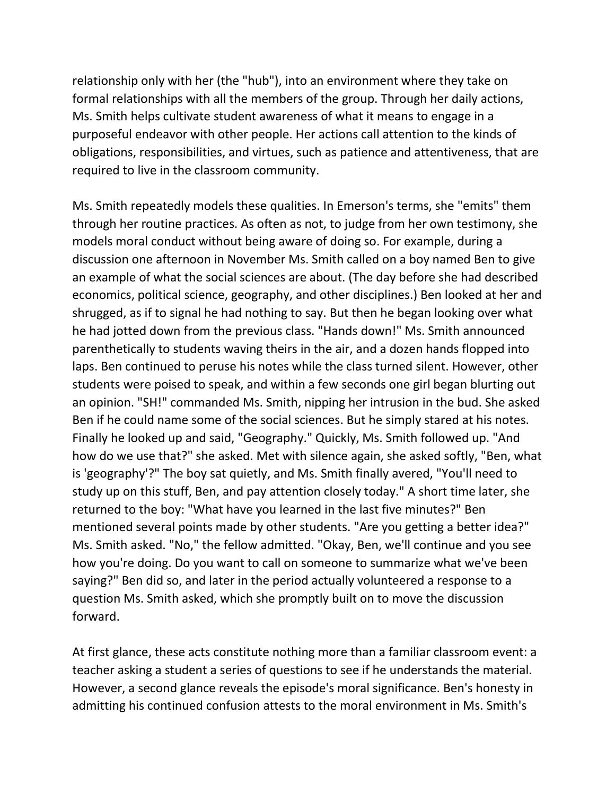relationship only with her (the "hub"), into an environment where they take on formal relationships with all the members of the group. Through her daily actions, Ms. Smith helps cultivate student awareness of what it means to engage in a purposeful endeavor with other people. Her actions call attention to the kinds of obligations, responsibilities, and virtues, such as patience and attentiveness, that are required to live in the classroom community.

Ms. Smith repeatedly models these qualities. In Emerson's terms, she "emits" them through her routine practices. As often as not, to judge from her own testimony, she models moral conduct without being aware of doing so. For example, during a discussion one afternoon in November Ms. Smith called on a boy named Ben to give an example of what the social sciences are about. (The day before she had described economics, political science, geography, and other disciplines.) Ben looked at her and shrugged, as if to signal he had nothing to say. But then he began looking over what he had jotted down from the previous class. "Hands down!" Ms. Smith announced parenthetically to students waving theirs in the air, and a dozen hands flopped into laps. Ben continued to peruse his notes while the class turned silent. However, other students were poised to speak, and within a few seconds one girl began blurting out an opinion. "SH!" commanded Ms. Smith, nipping her intrusion in the bud. She asked Ben if he could name some of the social sciences. But he simply stared at his notes. Finally he looked up and said, "Geography." Quickly, Ms. Smith followed up. "And how do we use that?" she asked. Met with silence again, she asked softly, "Ben, what is 'geography'?" The boy sat quietly, and Ms. Smith finally avered, "You'll need to study up on this stuff, Ben, and pay attention closely today." A short time later, she returned to the boy: "What have you learned in the last five minutes?" Ben mentioned several points made by other students. "Are you getting a better idea?" Ms. Smith asked. "No," the fellow admitted. "Okay, Ben, we'll continue and you see how you're doing. Do you want to call on someone to summarize what we've been saying?" Ben did so, and later in the period actually volunteered a response to a question Ms. Smith asked, which she promptly built on to move the discussion forward.

At first glance, these acts constitute nothing more than a familiar classroom event: a teacher asking a student a series of questions to see if he understands the material. However, a second glance reveals the episode's moral significance. Ben's honesty in admitting his continued confusion attests to the moral environment in Ms. Smith's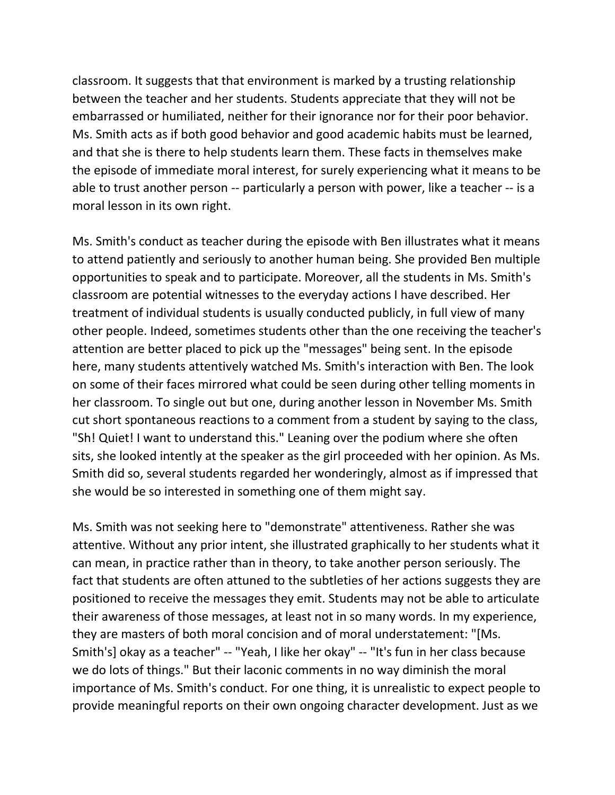classroom. It suggests that that environment is marked by a trusting relationship between the teacher and her students. Students appreciate that they will not be embarrassed or humiliated, neither for their ignorance nor for their poor behavior. Ms. Smith acts as if both good behavior and good academic habits must be learned, and that she is there to help students learn them. These facts in themselves make the episode of immediate moral interest, for surely experiencing what it means to be able to trust another person -- particularly a person with power, like a teacher -- is a moral lesson in its own right.

Ms. Smith's conduct as teacher during the episode with Ben illustrates what it means to attend patiently and seriously to another human being. She provided Ben multiple opportunities to speak and to participate. Moreover, all the students in Ms. Smith's classroom are potential witnesses to the everyday actions I have described. Her treatment of individual students is usually conducted publicly, in full view of many other people. Indeed, sometimes students other than the one receiving the teacher's attention are better placed to pick up the "messages" being sent. In the episode here, many students attentively watched Ms. Smith's interaction with Ben. The look on some of their faces mirrored what could be seen during other telling moments in her classroom. To single out but one, during another lesson in November Ms. Smith cut short spontaneous reactions to a comment from a student by saying to the class, "Sh! Quiet! I want to understand this." Leaning over the podium where she often sits, she looked intently at the speaker as the girl proceeded with her opinion. As Ms. Smith did so, several students regarded her wonderingly, almost as if impressed that she would be so interested in something one of them might say.

Ms. Smith was not seeking here to "demonstrate" attentiveness. Rather she was attentive. Without any prior intent, she illustrated graphically to her students what it can mean, in practice rather than in theory, to take another person seriously. The fact that students are often attuned to the subtleties of her actions suggests they are positioned to receive the messages they emit. Students may not be able to articulate their awareness of those messages, at least not in so many words. In my experience, they are masters of both moral concision and of moral understatement: "[Ms. Smith's] okay as a teacher" -- "Yeah, I like her okay" -- "It's fun in her class because we do lots of things." But their laconic comments in no way diminish the moral importance of Ms. Smith's conduct. For one thing, it is unrealistic to expect people to provide meaningful reports on their own ongoing character development. Just as we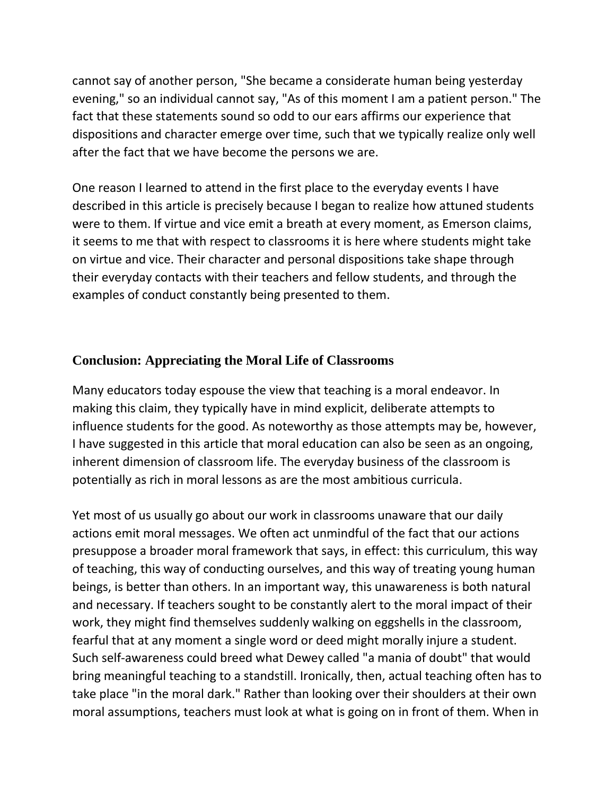cannot say of another person, "She became a considerate human being yesterday evening," so an individual cannot say, "As of this moment I am a patient person." The fact that these statements sound so odd to our ears affirms our experience that dispositions and character emerge over time, such that we typically realize only well after the fact that we have become the persons we are.

One reason I learned to attend in the first place to the everyday events I have described in this article is precisely because I began to realize how attuned students were to them. If virtue and vice emit a breath at every moment, as Emerson claims, it seems to me that with respect to classrooms it is here where students might take on virtue and vice. Their character and personal dispositions take shape through their everyday contacts with their teachers and fellow students, and through the examples of conduct constantly being presented to them.

#### **Conclusion: Appreciating the Moral Life of Classrooms**

Many educators today espouse the view that teaching is a moral endeavor. In making this claim, they typically have in mind explicit, deliberate attempts to influence students for the good. As noteworthy as those attempts may be, however, I have suggested in this article that moral education can also be seen as an ongoing, inherent dimension of classroom life. The everyday business of the classroom is potentially as rich in moral lessons as are the most ambitious curricula.

Yet most of us usually go about our work in classrooms unaware that our daily actions emit moral messages. We often act unmindful of the fact that our actions presuppose a broader moral framework that says, in effect: this curriculum, this way of teaching, this way of conducting ourselves, and this way of treating young human beings, is better than others. In an important way, this unawareness is both natural and necessary. If teachers sought to be constantly alert to the moral impact of their work, they might find themselves suddenly walking on eggshells in the classroom, fearful that at any moment a single word or deed might morally injure a student. Such self-awareness could breed what Dewey called "a mania of doubt" that would bring meaningful teaching to a standstill. Ironically, then, actual teaching often has to take place "in the moral dark." Rather than looking over their shoulders at their own moral assumptions, teachers must look at what is going on in front of them. When in